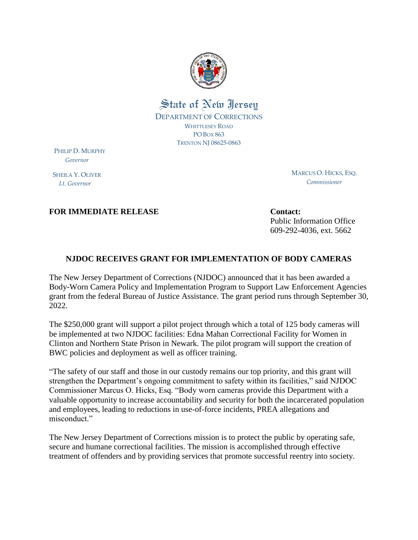

## State of New Jersey DEPARTMENT OF CORRECTIONS WHITTLESEY ROAD PO BOX 863 TRENTON NJ 08625-0863

PHILIP D. MURPHY  *Governor*

SHEILA Y. OLIVER  *Lt. Governor*

MARCUS O. HICKS, ESQ. *Commissioner*

**FOR IMMEDIATE RELEASE Contact: Contact:** 

Public Information Office 609-292-4036, ext. 5662

## **NJDOC RECEIVES GRANT FOR IMPLEMENTATION OF BODY CAMERAS**

The New Jersey Department of Corrections (NJDOC) announced that it has been awarded a Body-Worn Camera Policy and Implementation Program to Support Law Enforcement Agencies grant from the federal Bureau of Justice Assistance. The grant period runs through September 30, 2022.

The \$250,000 grant will support a pilot project through which a total of 125 body cameras will be implemented at two NJDOC facilities: Edna Mahan Correctional Facility for Women in Clinton and Northern State Prison in Newark. The pilot program will support the creation of BWC policies and deployment as well as officer training.

"The safety of our staff and those in our custody remains our top priority, and this grant will strengthen the Department's ongoing commitment to safety within its facilities," said NJDOC Commissioner Marcus O. Hicks, Esq. "Body worn cameras provide this Department with a valuable opportunity to increase accountability and security for both the incarcerated population and employees, leading to reductions in use-of-force incidents, PREA allegations and misconduct."

The New Jersey Department of Corrections mission is to protect the public by operating safe, secure and humane correctional facilities. The mission is accomplished through effective treatment of offenders and by providing services that promote successful reentry into society.